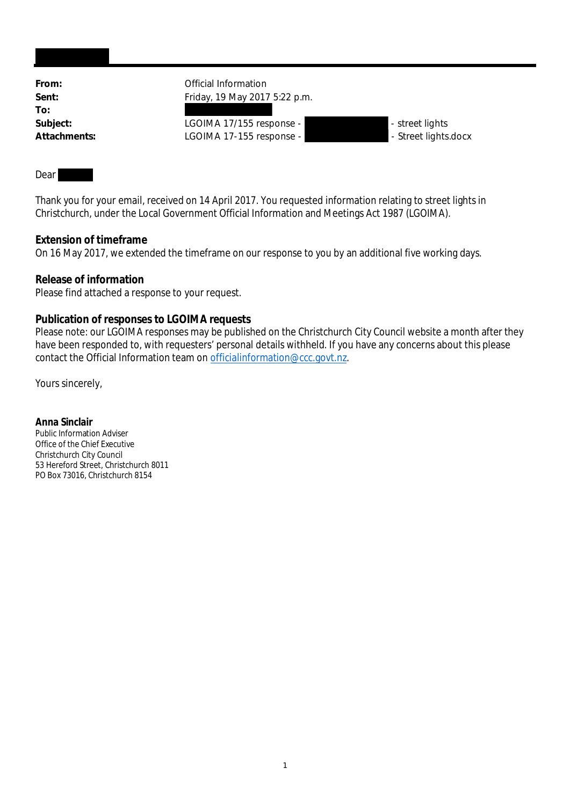| From:        | Official Information          |                      |  |
|--------------|-------------------------------|----------------------|--|
| Sent:        | Friday, 19 May 2017 5:22 p.m. |                      |  |
| To:          |                               |                      |  |
| Subject:     | LGOIMA 17/155 response -      | - street lights      |  |
| Attachments: | LGOIMA 17-155 response -      | - Street lights.docx |  |

## **Dear**

Thank you for your email, received on 14 April 2017. You requested information relating to street lights in Christchurch, under the Local Government Official Information and Meetings Act 1987 (LGOIMA).

## **Extension of timeframe**

On 16 May 2017, we extended the timeframe on our response to you by an additional five working days.

**Release of information** Please find attached a response to your request.

## **Publication of responses to LGOIMA requests**

Please note: our LGOIMA responses may be published on the Christchurch City Council website a month after they have been responded to, with requesters' personal details withheld. If you have any concerns about this please contact the Official Information team on officialinformation@ccc.govt.nz.

Yours sincerely,

**Anna Sinclair** Public Information Adviser Office of the Chief Executive Christchurch City Council 53 Hereford Street, Christchurch 8011 PO Box 73016, Christchurch 8154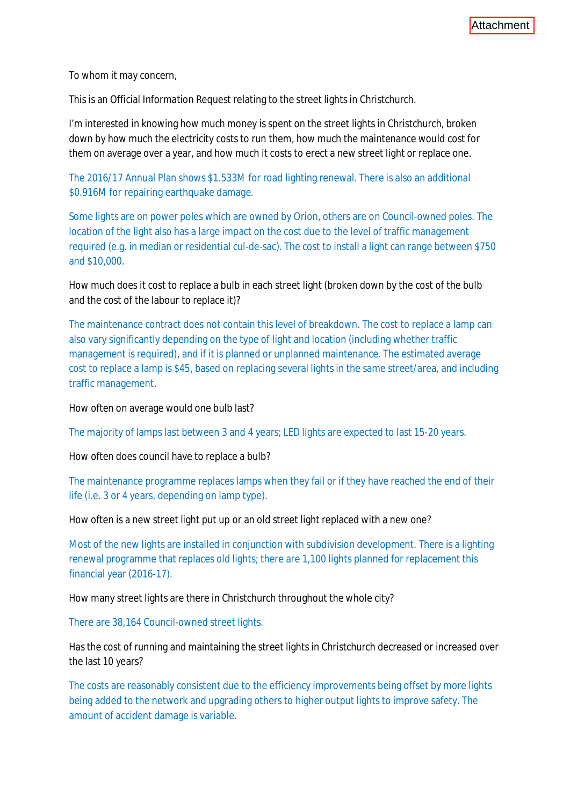To whom it may concern,

This is an Official Information Request relating to the street lights in Christchurch.

I'm interested in knowing how much money is spent on the street lights in Christchurch, broken down by how much the electricity costs to run them, how much the maintenance would cost for them on average over a year, and how much it costs to erect a new street light or replace one.

The 2016/17 Annual Plan shows \$1.533M for road lighting renewal. There is also an additional \$0.916M for repairing earthquake damage.

Some lights are on power poles which are owned by Orion, others are on Council-owned poles. The location of the light also has a large impact on the cost due to the level of traffic management required (e.g. in median or residential cul-de-sac). The cost to install a light can range between \$750 and \$10,000.

How much does it cost to replace a bulb in each street light (broken down by the cost of the bulb and the cost of the labour to replace it)?

The maintenance contract does not contain this level of breakdown. The cost to replace a lamp can also vary significantly depending on the type of light and location (including whether traffic management is required), and if it is planned or unplanned maintenance. The estimated average cost to replace a lamp is \$45, based on replacing several lights in the same street/area, and including traffic management.

How often on average would one bulb last?

The majority of lamps last between 3 and 4 years; LED lights are expected to last 15-20 years.

How often does council have to replace a bulb?

The maintenance programme replaces lamps when they fail or if they have reached the end of their life (i.e. 3 or 4 years, depending on lamp type).

How often is a new street light put up or an old street light replaced with a new one?

Most of the new lights are installed in conjunction with subdivision development. There is a lighting renewal programme that replaces old lights; there are 1,100 lights planned for replacement this financial year (2016-17).

How many street lights are there in Christchurch throughout the whole city?

There are 38,164 Council-owned street lights.

Has the cost of running and maintaining the street lights in Christchurch decreased or increased over the last 10 years?

The costs are reasonably consistent due to the efficiency improvements being offset by more lights being added to the network and upgrading others to higher output lights to improve safety. The amount of accident damage is variable.